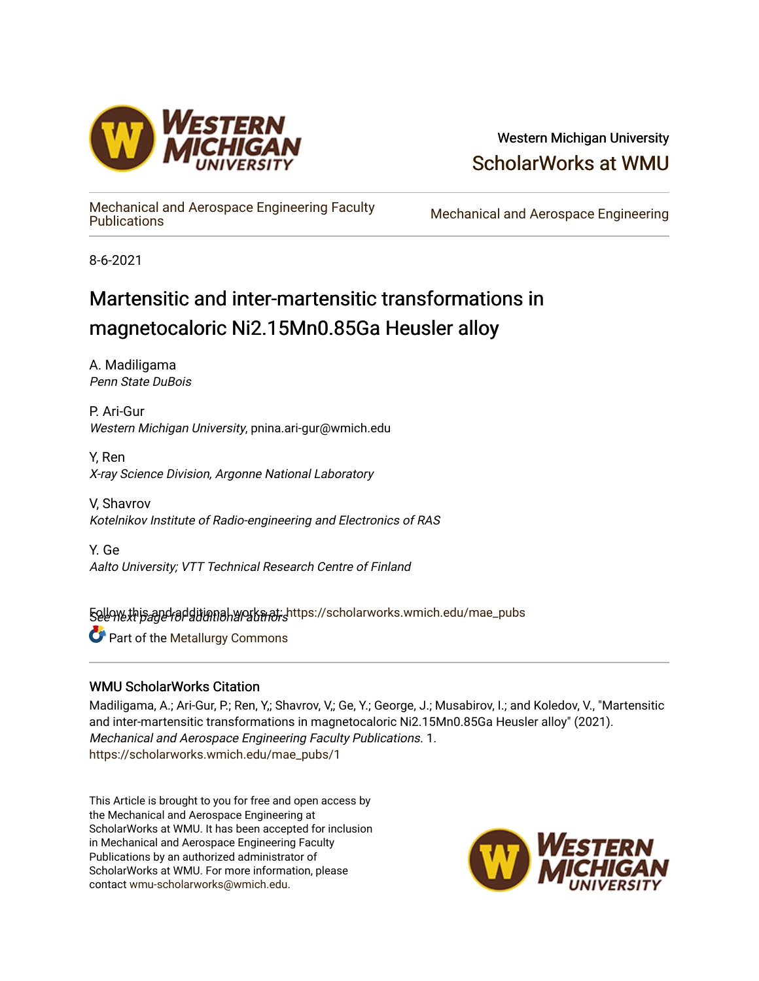

## Western Michigan University [ScholarWorks at WMU](https://scholarworks.wmich.edu/)

[Mechanical and Aerospace Engineering Faculty](https://scholarworks.wmich.edu/mae_pubs) 

Mechanical and Aerospace Engineering

8-6-2021

# Martensitic and inter-martensitic transformations in magnetocaloric Ni2.15Mn0.85Ga Heusler alloy

A. Madiligama Penn State DuBois

P. Ari-Gur Western Michigan University, pnina.ari-gur@wmich.edu

Y, Ren X-ray Science Division, Argonne National Laboratory

V, Shavrov Kotelnikov Institute of Radio-engineering and Electronics of RAS

Y. Ge Aalto University; VTT Technical Research Centre of Finland

5ellow this and additional works at: [https://scholarworks.wmich.edu/mae\\_pubs](https://scholarworks.wmich.edu/mae_pubs?utm_source=scholarworks.wmich.edu%2Fmae_pubs%2F1&utm_medium=PDF&utm_campaign=PDFCoverPages)

**Part of the Metallurgy Commons** 

### WMU ScholarWorks Citation

Madiligama, A.; Ari-Gur, P.; Ren, Y.; Shavrov, V.; Ge, Y.; George, J.; Musabirov, I.; and Koledov, V., "Martensitic and inter-martensitic transformations in magnetocaloric Ni2.15Mn0.85Ga Heusler alloy" (2021). Mechanical and Aerospace Engineering Faculty Publications. 1. [https://scholarworks.wmich.edu/mae\\_pubs/1](https://scholarworks.wmich.edu/mae_pubs/1?utm_source=scholarworks.wmich.edu%2Fmae_pubs%2F1&utm_medium=PDF&utm_campaign=PDFCoverPages) 

This Article is brought to you for free and open access by the Mechanical and Aerospace Engineering at ScholarWorks at WMU. It has been accepted for inclusion in Mechanical and Aerospace Engineering Faculty Publications by an authorized administrator of ScholarWorks at WMU. For more information, please contact [wmu-scholarworks@wmich.edu](mailto:wmu-scholarworks@wmich.edu).

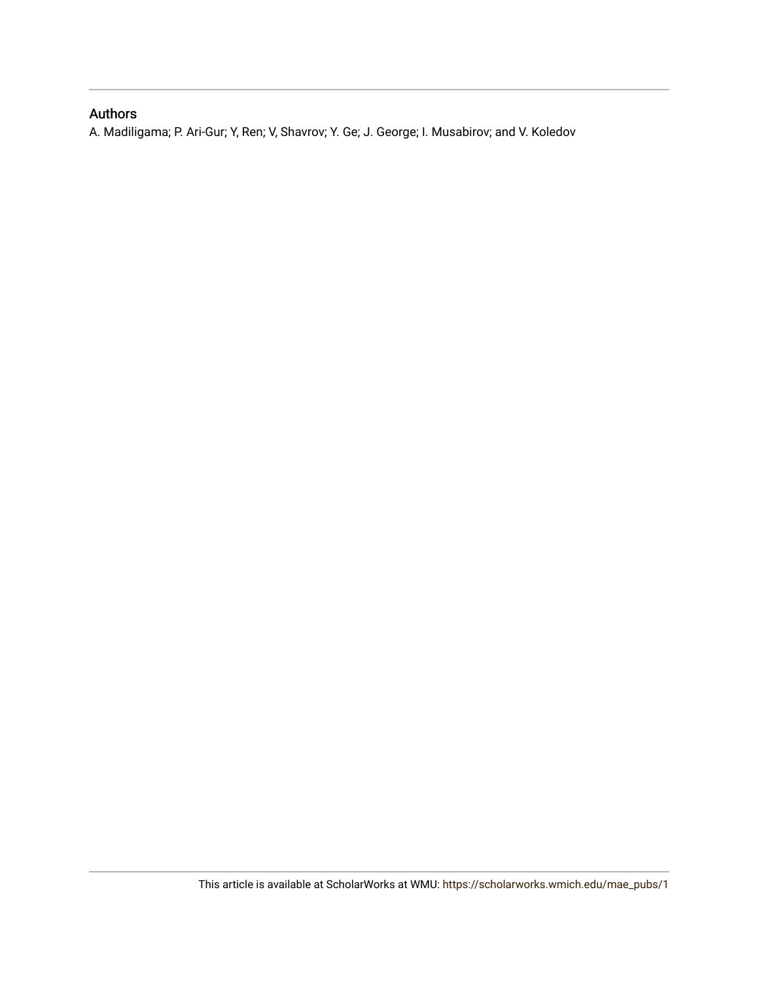## Authors

A. Madiligama; P. Ari-Gur; Y, Ren; V, Shavrov; Y. Ge; J. George; I. Musabirov; and V. Koledov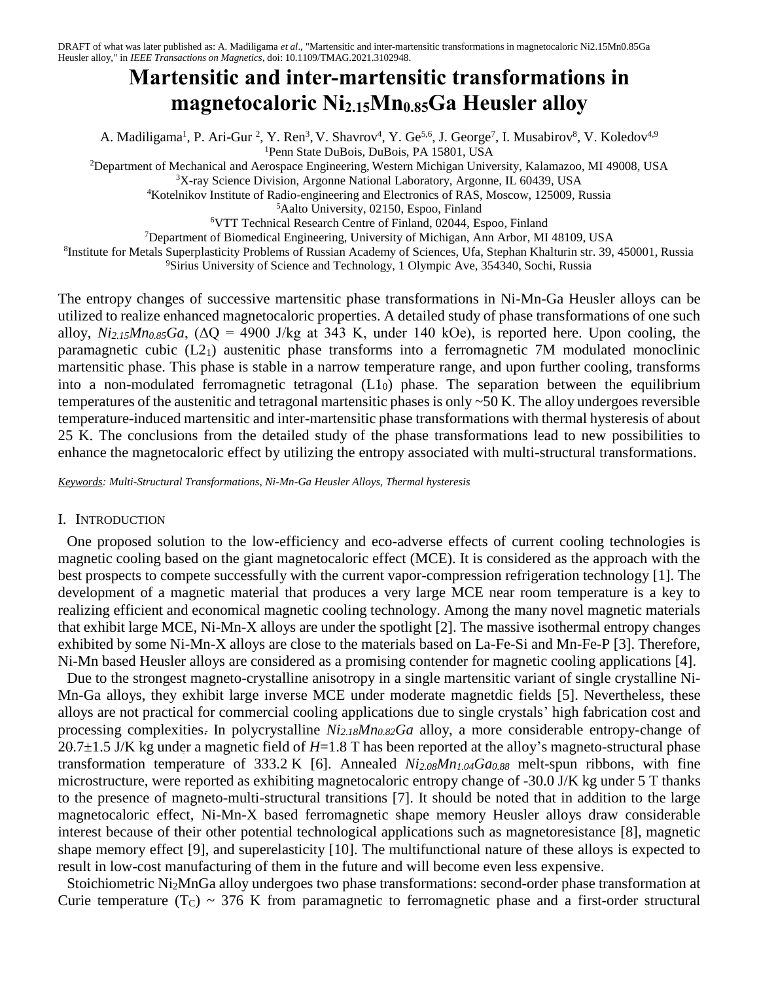# **Martensitic and inter-martensitic transformations in magnetocaloric Ni2.15Mn0.85Ga Heusler alloy**

A. Madiligama<sup>1</sup>, P. Ari-Gur<sup>2</sup>, Y. Ren<sup>3</sup>, V. Shavrov<sup>4</sup>, Y. Ge<sup>5,6</sup>, J. George<sup>7</sup>, I. Musabirov<sup>8</sup>, V. Koledov<sup>4,9</sup> <sup>1</sup>Penn State DuBois, DuBois, PA 15801, USA

<sup>2</sup>Department of Mechanical and Aerospace Engineering, Western Michigan University, Kalamazoo, MI 49008, USA

<sup>3</sup>X-ray Science Division, Argonne National Laboratory, Argonne, IL 60439, USA

<sup>4</sup>Kotelnikov Institute of Radio-engineering and Electronics of RAS, Moscow, 125009, Russia

<sup>5</sup>Aalto University, 02150, Espoo, Finland

<sup>6</sup>VTT Technical Research Centre of Finland, 02044, Espoo, Finland

<sup>7</sup>Department of Biomedical Engineering, University of Michigan, Ann Arbor, MI 48109, USA

<sup>8</sup>Institute for Metals Superplasticity Problems of Russian Academy of Sciences, Ufa, Stephan Khalturin str. 39, 450001, Russia

<sup>9</sup>Sirius University of Science and Technology, 1 Olympic Ave, 354340, Sochi, Russia

The entropy changes of successive martensitic phase transformations in Ni-Mn-Ga Heusler alloys can be utilized to realize enhanced magnetocaloric properties. A detailed study of phase transformations of one such alloy,  $Ni_{2.15}Mn_{0.85}Ga$ , ( $\Delta Q = 4900$  J/kg at 343 K, under 140 kOe), is reported here. Upon cooling, the paramagnetic cubic  $(L2_1)$  austenitic phase transforms into a ferromagnetic 7M modulated monoclinic martensitic phase. This phase is stable in a narrow temperature range, and upon further cooling, transforms into a non-modulated ferromagnetic tetragonal  $(L1<sub>0</sub>)$  phase. The separation between the equilibrium temperatures of the austenitic and tetragonal martensitic phases is only ~50 K. The alloy undergoes reversible temperature-induced martensitic and inter-martensitic phase transformations with thermal hysteresis of about 25 K. The conclusions from the detailed study of the phase transformations lead to new possibilities to enhance the magnetocaloric effect by utilizing the entropy associated with multi-structural transformations.

*Keywords: Multi-Structural Transformations, Ni-Mn-Ga Heusler Alloys, Thermal hysteresis*

#### I. INTRODUCTION

One proposed solution to the low-efficiency and eco-adverse effects of current cooling technologies is magnetic cooling based on the giant magnetocaloric effect (MCE). It is considered as the approach with the best prospects to compete successfully with the current vapor-compression refrigeration technology [1]. The development of a magnetic material that produces a very large MCE near room temperature is a key to realizing efficient and economical magnetic cooling technology. Among the many novel magnetic materials that exhibit large MCE, Ni-Mn-X alloys are under the spotlight [2]. The massive isothermal entropy changes exhibited by some Ni-Mn-X alloys are close to the materials based on La-Fe-Si and Mn-Fe-P [3]. Therefore, Ni-Mn based Heusler alloys are considered as a promising contender for magnetic cooling applications [4].

Due to the strongest magneto-crystalline anisotropy in a single martensitic variant of single crystalline Ni-Mn-Ga alloys, they exhibit large inverse MCE under moderate magnetdic fields [5]. Nevertheless, these alloys are not practical for commercial cooling applications due to single crystals' high fabrication cost and processing complexities. In polycrystalline *Ni2.18Mn0.82Ga* alloy, a more considerable entropy-change of 20.7±1.5 J/K kg under a magnetic field of *H*=1.8 T has been reported at the alloy's magneto-structural phase transformation temperature of 333.2 K [6]. Annealed *Ni2.08Mn1.04Ga0.88* melt-spun ribbons, with fine microstructure, were reported as exhibiting magnetocaloric entropy change of -30.0 J/K kg under 5 T thanks to the presence of magneto-multi-structural transitions [7]. It should be noted that in addition to the large magnetocaloric effect, Ni-Mn-X based ferromagnetic shape memory Heusler alloys draw considerable interest because of their other potential technological applications such as magnetoresistance [8], magnetic shape memory effect [9], and superelasticity [10]. The multifunctional nature of these alloys is expected to result in low-cost manufacturing of them in the future and will become even less expensive.

Stoichiometric Ni2MnGa alloy undergoes two phase transformations: second-order phase transformation at Curie temperature  $(T_C) \sim 376$  K from paramagnetic to ferromagnetic phase and a first-order structural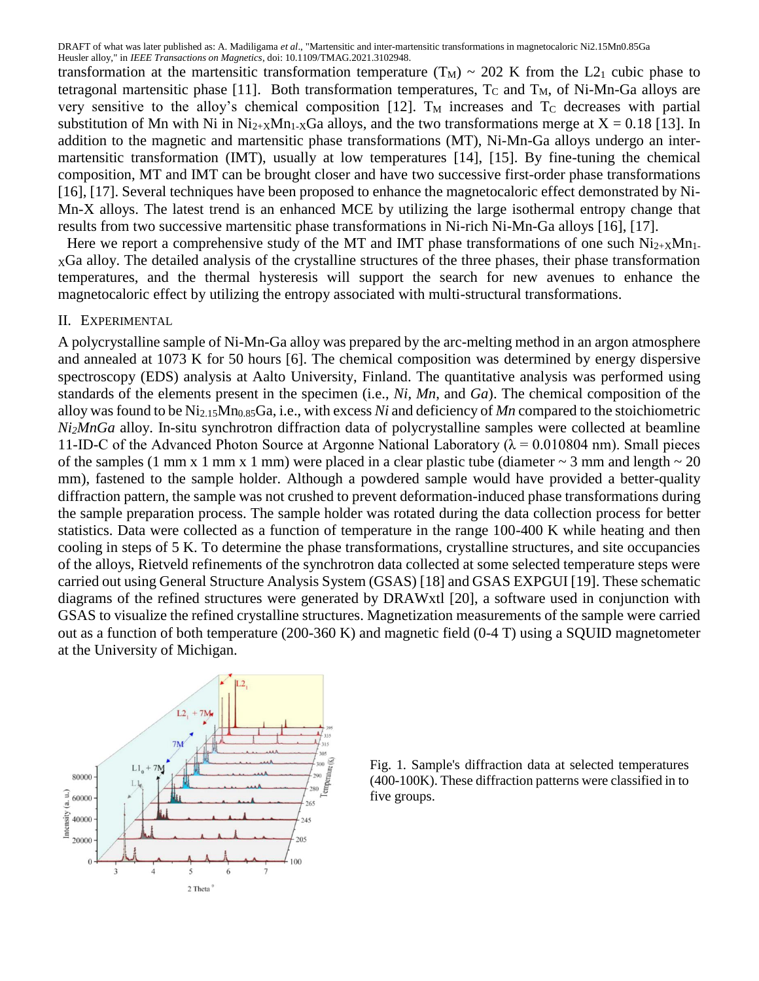transformation at the martensitic transformation temperature  $(T_M) \sim 202$  K from the L2<sub>1</sub> cubic phase to tetragonal martensitic phase [11]. Both transformation temperatures,  $T_c$  and  $T_M$ , of Ni-Mn-Ga alloys are very sensitive to the alloy's chemical composition [12].  $T_M$  increases and  $T_C$  decreases with partial substitution of Mn with Ni in Ni<sub>2+X</sub>Mn<sub>1-X</sub>Ga alloys, and the two transformations merge at  $X = 0.18$  [13]. In addition to the magnetic and martensitic phase transformations (MT), Ni-Mn-Ga alloys undergo an intermartensitic transformation (IMT), usually at low temperatures [14], [15]. By fine-tuning the chemical composition, MT and IMT can be brought closer and have two successive first-order phase transformations [16], [17]. Several techniques have been proposed to enhance the magnetocaloric effect demonstrated by Ni-Mn-X alloys. The latest trend is an enhanced MCE by utilizing the large isothermal entropy change that results from two successive martensitic phase transformations in Ni-rich Ni-Mn-Ga alloys [16], [17].

Here we report a comprehensive study of the MT and IMT phase transformations of one such  $Ni_{2+X}Mn_1$ . <sup>X</sup>Ga alloy. The detailed analysis of the crystalline structures of the three phases, their phase transformation temperatures, and the thermal hysteresis will support the search for new avenues to enhance the magnetocaloric effect by utilizing the entropy associated with multi-structural transformations.

#### II. EXPERIMENTAL

A polycrystalline sample of Ni-Mn-Ga alloy was prepared by the arc-melting method in an argon atmosphere and annealed at 1073 K for 50 hours [6]. The chemical composition was determined by energy dispersive spectroscopy (EDS) analysis at Aalto University, Finland. The quantitative analysis was performed using standards of the elements present in the specimen (i.e., *Ni*, *Mn*, and *Ga*). The chemical composition of the alloy was found to be Ni2.15Mn0.85Ga, i.e., with excess *Ni* and deficiency of *Mn* compared to the stoichiometric *Ni2MnGa* alloy. In-situ synchrotron diffraction data of polycrystalline samples were collected at beamline 11-ID-C of the Advanced Photon Source at Argonne National Laboratory ( $\lambda = 0.010804$  nm). Small pieces of the samples (1 mm x 1 mm x 1 mm) were placed in a clear plastic tube (diameter  $\sim$  3 mm and length  $\sim$  20 mm), fastened to the sample holder. Although a powdered sample would have provided a better-quality diffraction pattern, the sample was not crushed to prevent deformation-induced phase transformations during the sample preparation process. The sample holder was rotated during the data collection process for better statistics. Data were collected as a function of temperature in the range 100-400 K while heating and then cooling in steps of 5 K. To determine the phase transformations, crystalline structures, and site occupancies of the alloys, Rietveld refinements of the synchrotron data collected at some selected temperature steps were carried out using General Structure Analysis System (GSAS) [18] and GSAS EXPGUI [19]. These schematic diagrams of the refined structures were generated by DRAWxtl [20], a software used in conjunction with GSAS to visualize the refined crystalline structures. Magnetization measurements of the sample were carried out as a function of both temperature (200-360 K) and magnetic field (0-4 T) using a SQUID magnetometer at the University of Michigan.



Fig. 1*.* Sample's diffraction data at selected temperatures (400-100K). These diffraction patterns were classified in to five groups.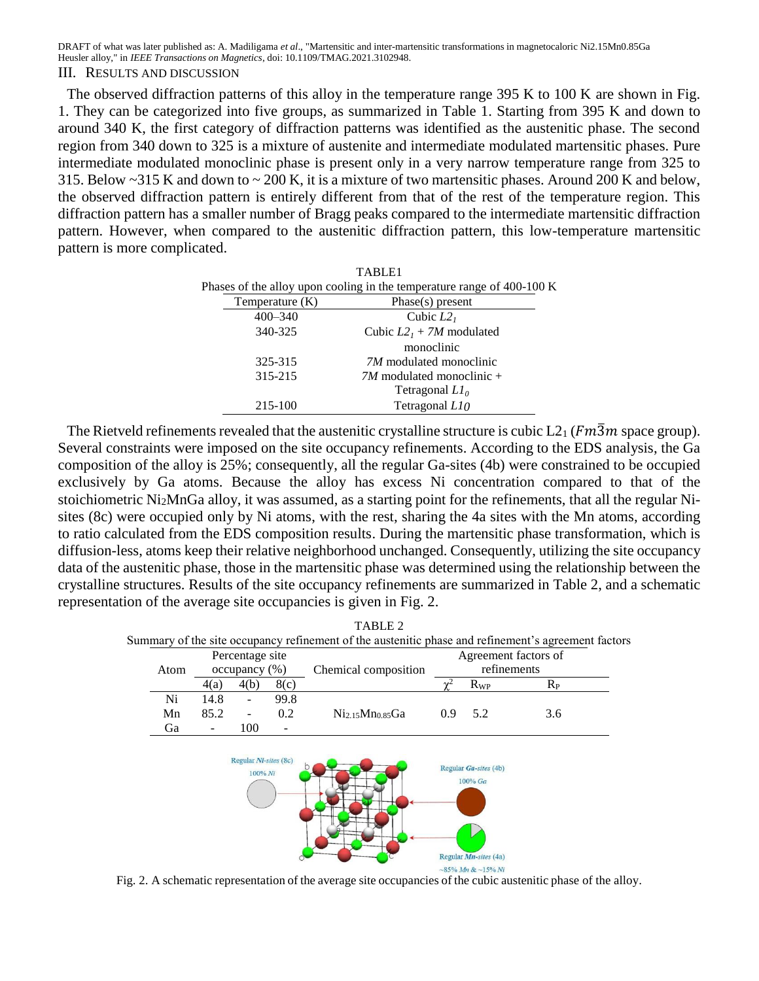The observed diffraction patterns of this alloy in the temperature range 395 K to 100 K are shown in Fig. 1. They can be categorized into five groups, as summarized in Table 1. Starting from 395 K and down to around 340 K, the first category of diffraction patterns was identified as the austenitic phase. The second region from 340 down to 325 is a mixture of austenite and intermediate modulated martensitic phases. Pure intermediate modulated monoclinic phase is present only in a very narrow temperature range from 325 to 315. Below ~315 K and down to ~ 200 K, it is a mixture of two martensitic phases. Around 200 K and below, the observed diffraction pattern is entirely different from that of the rest of the temperature region. This diffraction pattern has a smaller number of Bragg peaks compared to the intermediate martensitic diffraction pattern. However, when compared to the austenitic diffraction pattern, this low-temperature martensitic pattern is more complicated.

|                   | TABLE1                                                                 |
|-------------------|------------------------------------------------------------------------|
|                   | Phases of the alloy upon cooling in the temperature range of 400-100 K |
| Temperature $(K)$ | Phase(s) present                                                       |
| $400 - 340$       | Cubic $L2_1$                                                           |
| 340-325           | Cubic $L2_1 + 7M$ modulated                                            |
|                   | monoclinic                                                             |
| 325-315           | <i>7M</i> modulated monoclinic                                         |
| 315-215           | $7M$ modulated monoclinic +                                            |
|                   | Tetragonal $LI_{0}$                                                    |
| 215-100           | Tetragonal L10                                                         |
|                   |                                                                        |

The Rietveld refinements revealed that the austenitic crystalline structure is cubic  $L_{1}(Fm\overline{3}m)$  space group). Several constraints were imposed on the site occupancy refinements. According to the EDS analysis, the Ga composition of the alloy is 25%; consequently, all the regular Ga-sites (4b) were constrained to be occupied exclusively by Ga atoms. Because the alloy has excess Ni concentration compared to that of the stoichiometric Ni2MnGa alloy, it was assumed, as a starting point for the refinements, that all the regular Nisites (8c) were occupied only by Ni atoms, with the rest, sharing the 4a sites with the Mn atoms, according to ratio calculated from the EDS composition results. During the martensitic phase transformation, which is diffusion-less, atoms keep their relative neighborhood unchanged. Consequently, utilizing the site occupancy data of the austenitic phase, those in the martensitic phase was determined using the relationship between the crystalline structures. Results of the site occupancy refinements are summarized in Table 2, and a schematic representation of the average site occupancies is given in Fig. 2.

|      |                  |                                  |      | TABLE 2<br>Summary of the site occupancy refinement of the austenitic phase and refinement's agreement factors |                      |                                  |         |
|------|------------------|----------------------------------|------|----------------------------------------------------------------------------------------------------------------|----------------------|----------------------------------|---------|
|      |                  | Percentage site                  |      |                                                                                                                | Agreement factors of |                                  |         |
| Atom | $occupancy (\%)$ |                                  |      | Chemical composition                                                                                           | refinements          |                                  |         |
|      | 4(b)<br>4(a)     |                                  | 8(c) |                                                                                                                |                      | $R_{WP}$                         | $R_{P}$ |
| Ni   | 14.8             |                                  | 99.8 |                                                                                                                |                      |                                  |         |
| Mn   | 85.2             |                                  | 0.2  | Ni <sub>2.15</sub> Mn <sub>0.85</sub> Ga                                                                       | 0.9                  | 5.2                              | 3.6     |
| Ga   |                  | 100                              | -    |                                                                                                                |                      |                                  |         |
|      |                  | Regular Ni-sites (8c)<br>100% Ni |      |                                                                                                                |                      | Regular Ga-sites (4b)<br>100% Ga |         |
|      |                  |                                  |      |                                                                                                                |                      | Regular <i>Mn-sites</i> (4a)     |         |
|      |                  |                                  |      |                                                                                                                |                      | $\sim$ 85% Mn & $\sim$ 15% Ni    |         |

Fig. 2. A schematic representation of the average site occupancies of the cubic austenitic phase of the alloy.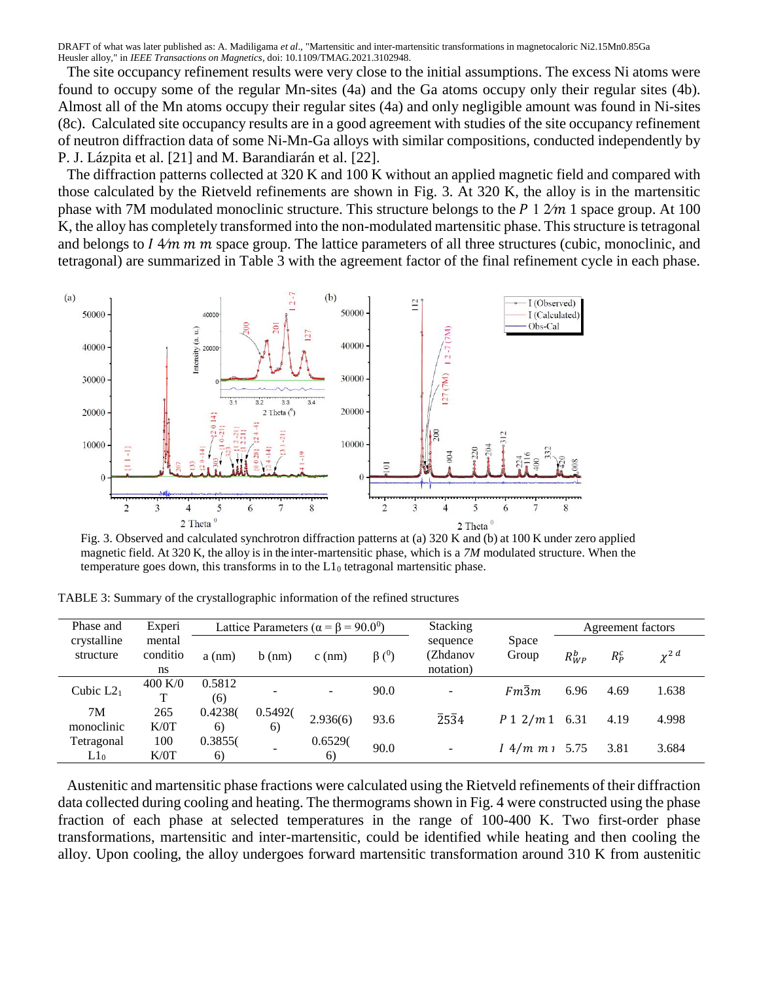The site occupancy refinement results were very close to the initial assumptions. The excess Ni atoms were found to occupy some of the regular Mn-sites (4a) and the Ga atoms occupy only their regular sites (4b). Almost all of the Mn atoms occupy their regular sites (4a) and only negligible amount was found in Ni-sites (8c). Calculated site occupancy results are in a good agreement with studies of the site occupancy refinement of neutron diffraction data of some Ni-Mn-Ga alloys with similar compositions, conducted independently by P. J. Lázpita et al. [21] and M. Barandiarán et al. [22].

The diffraction patterns collected at 320 K and 100 K without an applied magnetic field and compared with those calculated by the Rietveld refinements are shown in Fig. 3. At 320 K, the alloy is in the martensitic phase with 7M modulated monoclinic structure. This structure belongs to the  $P \frac{1}{2m} 1$  space group. At 100 K, the alloy has completely transformed into the non-modulated martensitic phase. This structure is tetragonal and belongs to  $1.4/m$  m m space group. The lattice parameters of all three structures (cubic, monoclinic, and tetragonal) are summarized in Table 3 with the agreement factor of the final refinement cycle in each phase.



Fig. 3. Observed and calculated synchrotron diffraction patterns at (a) 320 K and (b) at 100 K under zero applied magnetic field. At 320 K, the alloy is in the inter-martensitic phase, which is a *7M* modulated structure. When the temperature goes down, this transforms in to the  $L1<sub>0</sub>$  tetragonal martensitic phase.

| TABLE 3: Summary of the crystallographic information of the refined structures |  |  |  |  |  |  |
|--------------------------------------------------------------------------------|--|--|--|--|--|--|
|--------------------------------------------------------------------------------|--|--|--|--|--|--|

| Phase and                | Experi                   | Lattice Parameters ( $\alpha = \beta = 90.0^0$ ) |               |                          | Stacking                 |                                   | Agreement factors |            |         |                       |
|--------------------------|--------------------------|--------------------------------------------------|---------------|--------------------------|--------------------------|-----------------------------------|-------------------|------------|---------|-----------------------|
| crystalline<br>structure | mental<br>conditio<br>ns | $a$ (nm)                                         | $b$ (nm)      | $c$ (nm)                 | $\beta$ ( <sup>0</sup> ) | sequence<br>(Zhdanov<br>notation) | Space<br>Group    | $R_{WP}^b$ | $R_p^c$ | $\chi^2$ <sup>d</sup> |
| Cubic $L2_1$             | 400 K/0<br>T             | 0.5812<br>(6)                                    |               | $\overline{\phantom{a}}$ | 90.0                     | $\sim$                            | $Fm\overline{3}m$ | 6.96       | 4.69    | 1.638                 |
| 7M<br>monoclinic         | 265<br>K/0T              | 0.4238(<br>6)                                    | 0.5492(<br>6) | 2.936(6)                 | 93.6                     | $\overline{2}5\overline{3}4$      | $P_1 2/m_1 6.31$  |            | 4.19    | 4.998                 |
| Tetragonal<br>$L1_0$     | 100<br>K/0T              | 0.3855(<br>6)                                    |               | 0.6529(<br>6)            | 90.0                     | $\overline{\phantom{a}}$          | $1.4/m m_1 5.75$  |            | 3.81    | 3.684                 |

Austenitic and martensitic phase fractions were calculated using the Rietveld refinements of their diffraction data collected during cooling and heating. The thermograms shown in Fig. 4 were constructed using the phase fraction of each phase at selected temperatures in the range of 100-400 K. Two first-order phase transformations, martensitic and inter-martensitic, could be identified while heating and then cooling the alloy. Upon cooling, the alloy undergoes forward martensitic transformation around 310 K from austenitic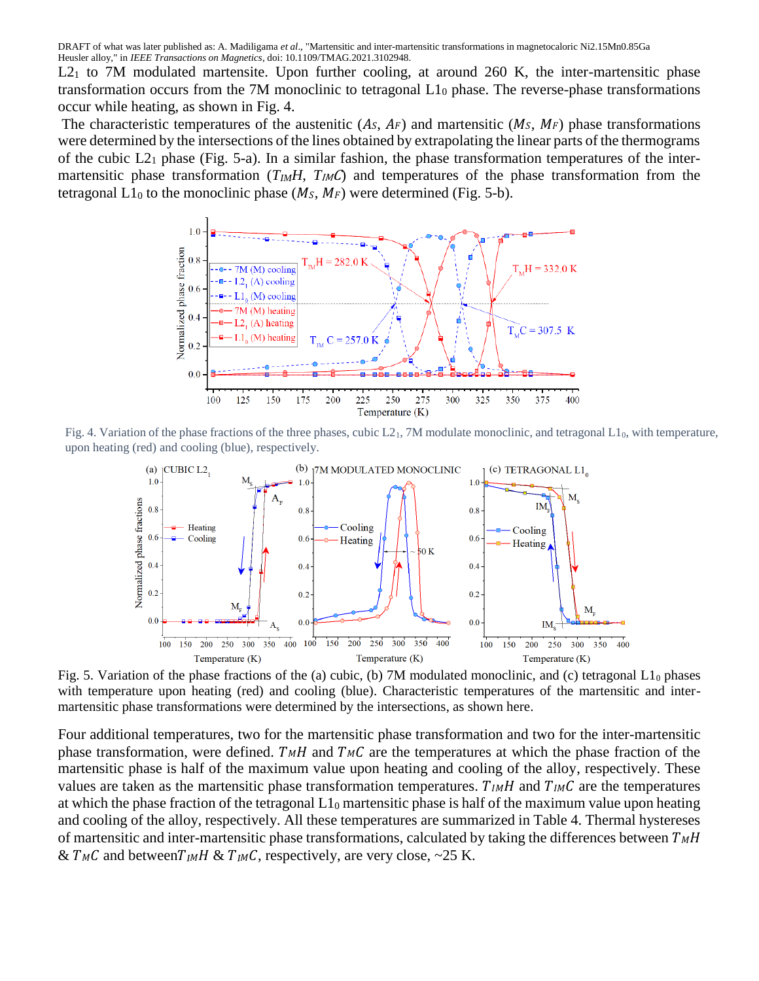$L_{21}$  to 7M modulated martensite. Upon further cooling, at around 260 K, the inter-martensitic phase transformation occurs from the 7M monoclinic to tetragonal L1<sup>0</sup> phase. The reverse-phase transformations occur while heating, as shown in Fig. 4.

The characteristic temperatures of the austenitic  $(A<sub>S</sub>, A<sub>F</sub>)$  and martensitic  $(M<sub>S</sub>, M<sub>F</sub>)$  phase transformations were determined by the intersections of the lines obtained by extrapolating the linear parts of the thermograms of the cubic  $L2_1$  phase (Fig. 5-a). In a similar fashion, the phase transformation temperatures of the intermartensitic phase transformation (*T<sub>IM</sub>H*, *T<sub>IM</sub>C*) and temperatures of the phase transformation from the tetragonal  $L1_0$  to the monoclinic phase ( $M_s$ ,  $M_F$ ) were determined (Fig. 5-b).



Fig. 4. Variation of the phase fractions of the three phases, cubic  $L_1$ , 7M modulate monoclinic, and tetragonal  $L_1$ <sub>0</sub>, with temperature, upon heating (red) and cooling (blue), respectively.



Fig. 5. Variation of the phase fractions of the (a) cubic, (b) 7M modulated monoclinic, and (c) tetragonal  $L_1$ <sub>0</sub> phases with temperature upon heating (red) and cooling (blue). Characteristic temperatures of the martensitic and intermartensitic phase transformations were determined by the intersections, as shown here.

Four additional temperatures, two for the martensitic phase transformation and two for the inter-martensitic phase transformation, were defined.  $T_MH$  and  $T_MC$  are the temperatures at which the phase fraction of the martensitic phase is half of the maximum value upon heating and cooling of the alloy, respectively. These values are taken as the martensitic phase transformation temperatures.  $T_{IM}H$  and  $T_{IM}C$  are the temperatures at which the phase fraction of the tetragonal  $L1_0$  martensitic phase is half of the maximum value upon heating and cooling of the alloy, respectively. All these temperatures are summarized in Table 4. Thermal hystereses of martensitic and inter-martensitic phase transformations, calculated by taking the differences between  $T_MH$ &  $T_MC$  and between $T_MH \& T_MC$ , respectively, are very close, ~25 K.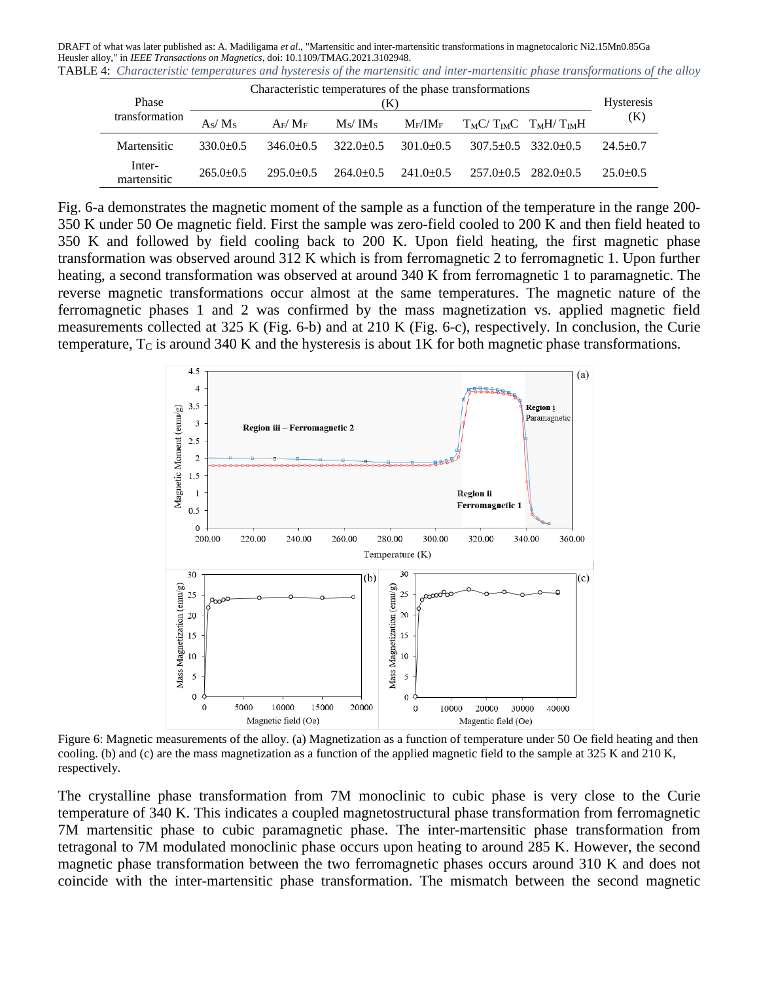DRAFT of what was later published as: A. Madiligama *et al*., "Martensitic and inter-martensitic transformations in magnetocaloric Ni2.15Mn0.85Ga Heusler alloy," in *IEEE Transactions on Magnetics*, doi: 10.1109/TMAG.2021.3102948. TABLE 4: *Characteristic temperatures and hysteresis of the martensitic and inter-martensitic phase transformations of the alloy*

| Phase                 | Characteristic temperatures of the phase transformations<br>K) |               |                                 |                |  |                         |                |  |
|-----------------------|----------------------------------------------------------------|---------------|---------------------------------|----------------|--|-------------------------|----------------|--|
| transformation        | As/Ms                                                          | $A_F/M_F$     | M <sub>S</sub> / M <sub>S</sub> | $\rm M_F/IM_F$ |  | $T_MC/T_MC$ $T_MH/T_MH$ | (K)            |  |
| Martensitic           | $330.0+0.5$                                                    | $346.0+0.5$   | $322.0 + 0.5$                   | $301.0 + 0.5$  |  | $307.5+0.5$ $332.0+0.5$ | $24.5 \pm 0.7$ |  |
| Inter-<br>martensitic | $265.0 + 0.5$                                                  | $295.0 + 0.5$ | $264.0\pm0.5$                   | $241.0\pm 0.5$ |  | $257.0+0.5$ $282.0+0.5$ | $25.0 + 0.5$   |  |

Fig. 6-a demonstrates the magnetic moment of the sample as a function of the temperature in the range 200- 350 K under 50 Oe magnetic field. First the sample was zero-field cooled to 200 K and then field heated to 350 K and followed by field cooling back to 200 K. Upon field heating, the first magnetic phase transformation was observed around 312 K which is from ferromagnetic 2 to ferromagnetic 1. Upon further heating, a second transformation was observed at around 340 K from ferromagnetic 1 to paramagnetic. The reverse magnetic transformations occur almost at the same temperatures. The magnetic nature of the ferromagnetic phases 1 and 2 was confirmed by the mass magnetization vs. applied magnetic field measurements collected at 325 K (Fig. 6-b) and at 210 K (Fig. 6-c), respectively. In conclusion, the Curie temperature,  $T_c$  is around 340 K and the hysteresis is about 1K for both magnetic phase transformations.



Figure 6: Magnetic measurements of the alloy. (a) Magnetization as a function of temperature under 50 Oe field heating and then cooling. (b) and (c) are the mass magnetization as a function of the applied magnetic field to the sample at 325 K and 210 K, respectively.

The crystalline phase transformation from 7M monoclinic to cubic phase is very close to the Curie temperature of 340 K. This indicates a coupled magnetostructural phase transformation from ferromagnetic 7M martensitic phase to cubic paramagnetic phase. The inter-martensitic phase transformation from tetragonal to 7M modulated monoclinic phase occurs upon heating to around 285 K. However, the second magnetic phase transformation between the two ferromagnetic phases occurs around 310 K and does not coincide with the inter-martensitic phase transformation. The mismatch between the second magnetic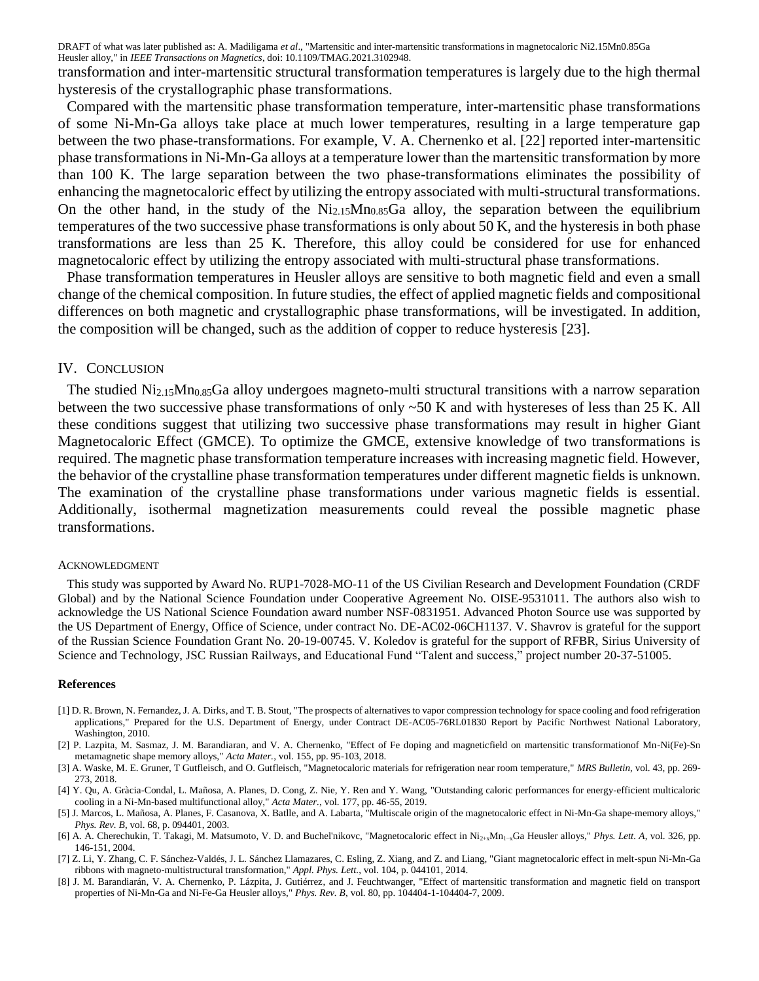transformation and inter-martensitic structural transformation temperatures is largely due to the high thermal hysteresis of the crystallographic phase transformations.

Compared with the martensitic phase transformation temperature, inter-martensitic phase transformations of some Ni-Mn-Ga alloys take place at much lower temperatures, resulting in a large temperature gap between the two phase-transformations. For example, V. A. Chernenko et al. [22] reported inter-martensitic phase transformations in Ni-Mn-Ga alloys at a temperature lower than the martensitic transformation by more than 100 K. The large separation between the two phase-transformations eliminates the possibility of enhancing the magnetocaloric effect by utilizing the entropy associated with multi-structural transformations. On the other hand, in the study of the  $Ni<sub>2.15</sub>Mn<sub>0.85</sub>Ga$  alloy, the separation between the equilibrium temperatures of the two successive phase transformations is only about 50 K, and the hysteresis in both phase transformations are less than 25 K. Therefore, this alloy could be considered for use for enhanced magnetocaloric effect by utilizing the entropy associated with multi-structural phase transformations.

Phase transformation temperatures in Heusler alloys are sensitive to both magnetic field and even a small change of the chemical composition. In future studies, the effect of applied magnetic fields and compositional differences on both magnetic and crystallographic phase transformations, will be investigated. In addition, the composition will be changed, such as the addition of copper to reduce hysteresis [23].

#### IV. CONCLUSION

The studied  $Ni<sub>2.15</sub>Mn<sub>0.85</sub>Ga$  alloy undergoes magneto-multi structural transitions with a narrow separation between the two successive phase transformations of only ~50 K and with hystereses of less than 25 K. All these conditions suggest that utilizing two successive phase transformations may result in higher Giant Magnetocaloric Effect (GMCE). To optimize the GMCE, extensive knowledge of two transformations is required. The magnetic phase transformation temperature increases with increasing magnetic field. However, the behavior of the crystalline phase transformation temperatures under different magnetic fields is unknown. The examination of the crystalline phase transformations under various magnetic fields is essential. Additionally, isothermal magnetization measurements could reveal the possible magnetic phase transformations.

#### ACKNOWLEDGMENT

This study was supported by Award No. RUP1-7028-MO-11 of the US Civilian Research and Development Foundation (CRDF Global) and by the National Science Foundation under Cooperative Agreement No. OISE-9531011. The authors also wish to acknowledge the US National Science Foundation award number NSF-0831951. Advanced Photon Source use was supported by the US Department of Energy, Office of Science, under contract No. DE-AC02-06CH1137. V. Shavrov is grateful for the support of the Russian Science Foundation Grant No. 20-19-00745. V. Koledov is grateful for the support of RFBR, Sirius University of Science and Technology, JSC Russian Railways, and Educational Fund "Talent and success," project number 20-37-51005.

#### **References**

- [1] D. R. Brown, N. Fernandez, J. A. Dirks, and T. B. Stout, "The prospects of alternatives to vapor compression technology for space cooling and food refrigeration applications," Prepared for the U.S. Department of Energy, under Contract DE-AC05-76RL01830 Report by Pacific Northwest National Laboratory, Washington, 2010.
- [2] P. Lazpita, M. Sasmaz, J. M. Barandiaran, and V. A. Chernenko, "Effect of Fe doping and magneticfield on martensitic transformationof Mn-Ni(Fe)-Sn metamagnetic shape memory alloys," *Acta Mater.*, vol. 155, pp. 95-103, 2018.
- [3] A. Waske, M. E. Gruner, T Gutfleisch, and O. Gutfleisch, "Magnetocaloric materials for refrigeration near room temperature," *MRS Bulletin*, vol. 43, pp. 269- 273, 2018.
- [4] Y. Qu, A. Gràcia-Condal, L. Mañosa, A. Planes, D. Cong, Z. Nie, Y. Ren and Y. Wang, "Outstanding caloric performances for energy-efficient multicaloric cooling in a Ni-Mn-based multifunctional alloy," *Acta Mater.*, vol. 177, pp. 46-55, 2019.
- [5] J. Marcos, L. Mañosa, A. Planes, F. Casanova, X. Batlle, and A. Labarta, "Multiscale origin of the magnetocaloric effect in Ni-Mn-Ga shape-memory alloys," *Phys. Rev. B*, vol. 68, p. 094401, 2003.
- [6] A. A. Cherechukin, T. Takagi, M. Matsumoto, V. D. and Buchel'nikovc, "Magnetocaloric effect in Ni2+xMn1−xGa Heusler alloys," *Phys. Lett. A*, vol. 326, pp. 146-151, 2004.
- [7] Z. Li, Y. Zhang, C. F. Sánchez-Valdés, J. L. Sánchez Llamazares, C. Esling, Z. Xiang, and Z. and Liang, "Giant magnetocaloric effect in melt-spun Ni-Mn-Ga ribbons with magneto-multistructural transformation," *Appl. Phys. Lett.*, vol. 104, p. 044101, 2014.
- [8] J. M. Barandiarán, V. A. Chernenko, P. Lázpita, J. Gutiérrez, and J. Feuchtwanger, "Effect of martensitic transformation and magnetic field on transport properties of Ni-Mn-Ga and Ni-Fe-Ga Heusler alloys," *Phys. Rev. B*, vol. 80, pp. 104404-1-104404-7, 2009.